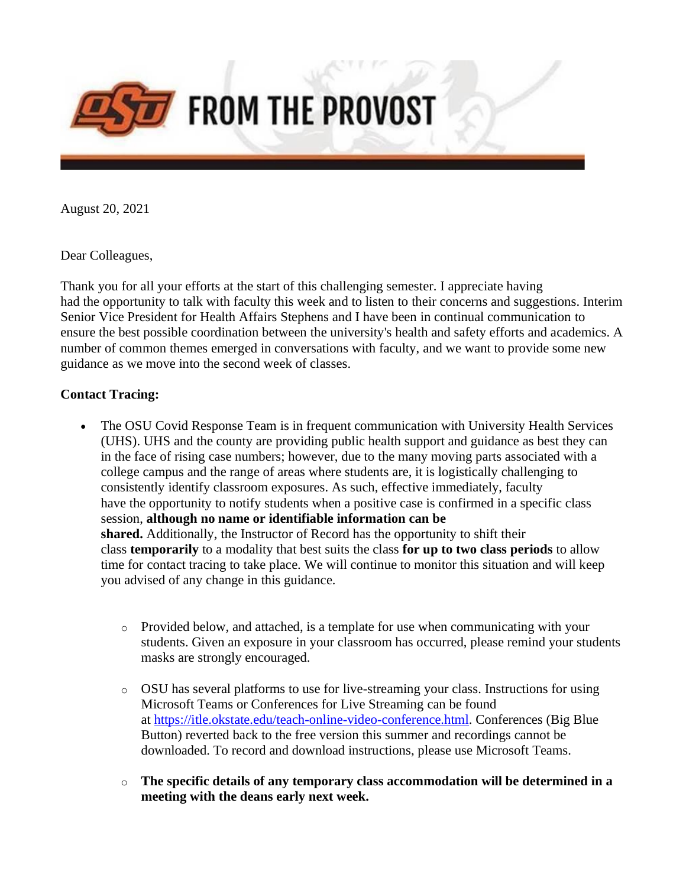

August 20, 2021

Dear Colleagues,

Thank you for all your efforts at the start of this challenging semester. I appreciate having had the opportunity to talk with faculty this week and to listen to their concerns and suggestions. Interim Senior Vice President for Health Affairs Stephens and I have been in continual communication to ensure the best possible coordination between the university's health and safety efforts and academics. A number of common themes emerged in conversations with faculty, and we want to provide some new guidance as we move into the second week of classes.

# **Contact Tracing:**

- The OSU Covid Response Team is in frequent communication with University Health Services (UHS). UHS and the county are providing public health support and guidance as best they can in the face of rising case numbers; however, due to the many moving parts associated with a college campus and the range of areas where students are, it is logistically challenging to consistently identify classroom exposures. As such, effective immediately, faculty have the opportunity to notify students when a positive case is confirmed in a specific class session, **although no name or identifiable information can be shared.** Additionally, the Instructor of Record has the opportunity to shift their class **temporarily** to a modality that best suits the class **for up to two class periods** to allow time for contact tracing to take place. We will continue to monitor this situation and will keep you advised of any change in this guidance.
	- o Provided below, and attached, is a template for use when communicating with your students. Given an exposure in your classroom has occurred, please remind your students masks are strongly encouraged.
	- o OSU has several platforms to use for live-streaming your class. Instructions for using Microsoft Teams or Conferences for Live Streaming can be found at [https://itle.okstate.edu/teach-online-video-conference.html.](https://nam04.safelinks.protection.outlook.com/?url=https%3A%2F%2Fitle.okstate.edu%2Fteach-online-video-conference.html&data=04%7C01%7Cbobbikay.lewis%40okstate.edu%7Cd10cafe36b9548101b9208d96427908d%7C2a69c91de8494e34a230cdf8b27e1964%7C0%7C0%7C637650943381611291%7CUnknown%7CTWFpbGZsb3d8eyJWIjoiMC4wLjAwMDAiLCJQIjoiV2luMzIiLCJBTiI6Ik1haWwiLCJXVCI6Mn0%3D%7C1000&sdata=UJiMofByi8BAnU%2F2gqvDuOVCv7Z80ASkstbqtc6Ri5E%3D&reserved=0) Conferences (Big Blue Button) reverted back to the free version this summer and recordings cannot be downloaded. To record and download instructions, please use Microsoft Teams.
	- o **The specific details of any temporary class accommodation will be determined in a meeting with the deans early next week.**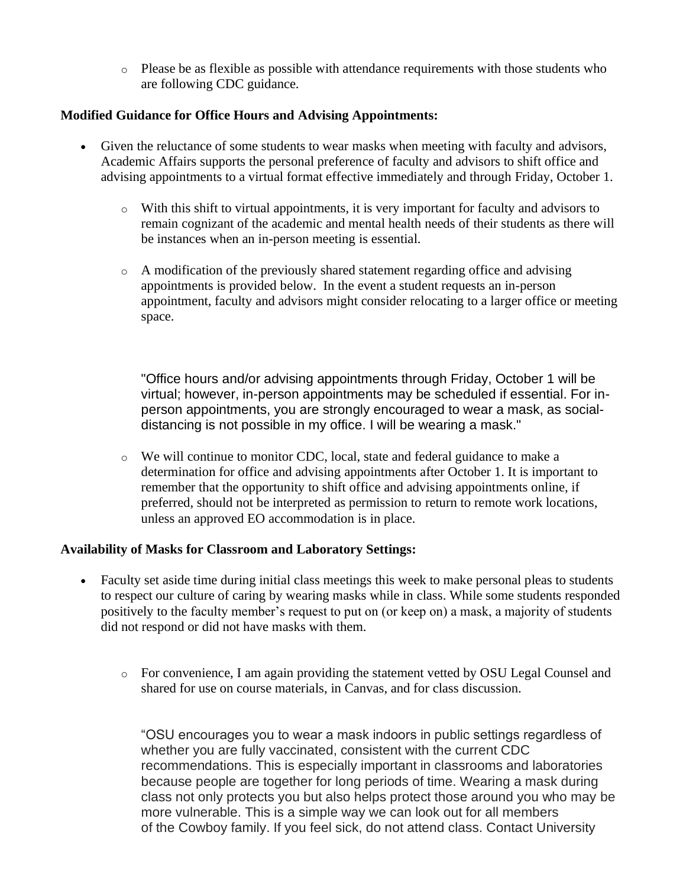o Please be as flexible as possible with attendance requirements with those students who are following CDC guidance.

### **Modified Guidance for Office Hours and Advising Appointments:**

- Given the reluctance of some students to wear masks when meeting with faculty and advisors, Academic Affairs supports the personal preference of faculty and advisors to shift office and advising appointments to a virtual format effective immediately and through Friday, October 1.
	- o With this shift to virtual appointments, it is very important for faculty and advisors to remain cognizant of the academic and mental health needs of their students as there will be instances when an in-person meeting is essential.
	- o A modification of the previously shared statement regarding office and advising appointments is provided below. In the event a student requests an in-person appointment, faculty and advisors might consider relocating to a larger office or meeting space.

"Office hours and/or advising appointments through Friday, October 1 will be virtual; however, in-person appointments may be scheduled if essential. For inperson appointments, you are strongly encouraged to wear a mask, as socialdistancing is not possible in my office. I will be wearing a mask."

o We will continue to monitor CDC, local, state and federal guidance to make a determination for office and advising appointments after October 1. It is important to remember that the opportunity to shift office and advising appointments online, if preferred, should not be interpreted as permission to return to remote work locations, unless an approved EO accommodation is in place.

#### **Availability of Masks for Classroom and Laboratory Settings:**

- Faculty set aside time during initial class meetings this week to make personal pleas to students to respect our culture of caring by wearing masks while in class. While some students responded positively to the faculty member's request to put on (or keep on) a mask, a majority of students did not respond or did not have masks with them.
	- o For convenience, I am again providing the statement vetted by OSU Legal Counsel and shared for use on course materials, in Canvas, and for class discussion.

"OSU encourages you to wear a mask indoors in public settings regardless of whether you are fully vaccinated, consistent with the current CDC recommendations. This is especially important in classrooms and laboratories because people are together for long periods of time. Wearing a mask during class not only protects you but also helps protect those around you who may be more vulnerable. This is a simple way we can look out for all members of the Cowboy family. If you feel sick, do not attend class. Contact University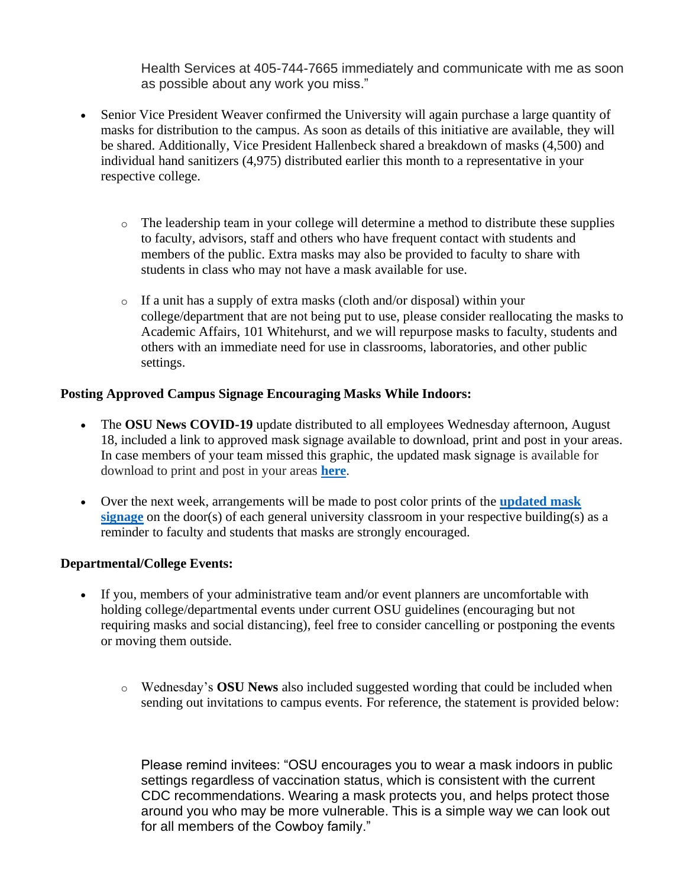Health Services at 405-744-7665 immediately and communicate with me as soon as possible about any work you miss."

- Senior Vice President Weaver confirmed the University will again purchase a large quantity of masks for distribution to the campus. As soon as details of this initiative are available, they will be shared. Additionally, Vice President Hallenbeck shared a breakdown of masks (4,500) and individual hand sanitizers (4,975) distributed earlier this month to a representative in your respective college.
	- o The leadership team in your college will determine a method to distribute these supplies to faculty, advisors, staff and others who have frequent contact with students and members of the public. Extra masks may also be provided to faculty to share with students in class who may not have a mask available for use.
	- o If a unit has a supply of extra masks (cloth and/or disposal) within your college/department that are not being put to use, please consider reallocating the masks to Academic Affairs, 101 Whitehurst, and we will repurpose masks to faculty, students and others with an immediate need for use in classrooms, laboratories, and other public settings.

# **Posting Approved Campus Signage Encouraging Masks While Indoors:**

- The **OSU News COVID-19** update distributed to all employees Wednesday afternoon, August 18, included a link to approved mask signage available to download, print and post in your areas. In case members of your team missed this graphic, the updated mask signage is available for download to print and post in your areas **[here](https://nam04.safelinks.protection.outlook.com/?url=https%3A%2F%2Fgo.okstate.edu%2Fsite-files%2Fdocs%2Fcovid-19-announcement%2Fmasks_encouraged.pdf%3Futm_source%3DOSU%2BCommunications%26utm_campaign%3Da207b0aeb9-EMAIL_CAMPAIGN_2020_03_16_06_05_COPY_01%26utm_medium%3Demail%26utm_term%3D0_ef85cdae6a-a207b0aeb9-&data=04%7C01%7Cbobbikay.lewis%40okstate.edu%7Cd10cafe36b9548101b9208d96427908d%7C2a69c91de8494e34a230cdf8b27e1964%7C0%7C0%7C637650943381621254%7CUnknown%7CTWFpbGZsb3d8eyJWIjoiMC4wLjAwMDAiLCJQIjoiV2luMzIiLCJBTiI6Ik1haWwiLCJXVCI6Mn0%3D%7C1000&sdata=aikOsRNfHmq1qpl37itQyfTZpexE43OaESUhP1h7BQY%3D&reserved=0)**.
- Over the next week, arrangements will be made to post color prints of the **[updated mask](https://nam04.safelinks.protection.outlook.com/?url=https%3A%2F%2Fgo.okstate.edu%2Fsite-files%2Fdocs%2Fcovid-19-announcement%2Fmasks_encouraged.pdf%3Futm_source%3DOSU%2BCommunications%26utm_campaign%3Da207b0aeb9-EMAIL_CAMPAIGN_2020_03_16_06_05_COPY_01%26utm_medium%3Demail%26utm_term%3D0_ef85cdae6a-a207b0aeb9-&data=04%7C01%7Cbobbikay.lewis%40okstate.edu%7Cd10cafe36b9548101b9208d96427908d%7C2a69c91de8494e34a230cdf8b27e1964%7C0%7C0%7C637650943381621254%7CUnknown%7CTWFpbGZsb3d8eyJWIjoiMC4wLjAwMDAiLCJQIjoiV2luMzIiLCJBTiI6Ik1haWwiLCJXVCI6Mn0%3D%7C1000&sdata=aikOsRNfHmq1qpl37itQyfTZpexE43OaESUhP1h7BQY%3D&reserved=0)**  [signage](https://nam04.safelinks.protection.outlook.com/?url=https%3A%2F%2Fgo.okstate.edu%2Fsite-files%2Fdocs%2Fcovid-19-announcement%2Fmasks_encouraged.pdf%3Futm_source%3DOSU%2BCommunications%26utm_campaign%3Da207b0aeb9-EMAIL_CAMPAIGN_2020_03_16_06_05_COPY_01%26utm_medium%3Demail%26utm_term%3D0_ef85cdae6a-a207b0aeb9-&data=04%7C01%7Cbobbikay.lewis%40okstate.edu%7Cd10cafe36b9548101b9208d96427908d%7C2a69c91de8494e34a230cdf8b27e1964%7C0%7C0%7C637650943381621254%7CUnknown%7CTWFpbGZsb3d8eyJWIjoiMC4wLjAwMDAiLCJQIjoiV2luMzIiLCJBTiI6Ik1haWwiLCJXVCI6Mn0%3D%7C1000&sdata=aikOsRNfHmq1qpl37itQyfTZpexE43OaESUhP1h7BQY%3D&reserved=0) on the door(s) of each general university classroom in your respective building(s) as a reminder to faculty and students that masks are strongly encouraged.

# **Departmental/College Events:**

- If you, members of your administrative team and/or event planners are uncomfortable with holding college/departmental events under current OSU guidelines (encouraging but not requiring masks and social distancing), feel free to consider cancelling or postponing the events or moving them outside.
	- o Wednesday's **OSU News** also included suggested wording that could be included when sending out invitations to campus events. For reference, the statement is provided below:

Please remind invitees: "OSU encourages you to wear a mask indoors in public settings regardless of vaccination status, which is consistent with the current CDC recommendations. Wearing a mask protects you, and helps protect those around you who may be more vulnerable. This is a simple way we can look out for all members of the Cowboy family."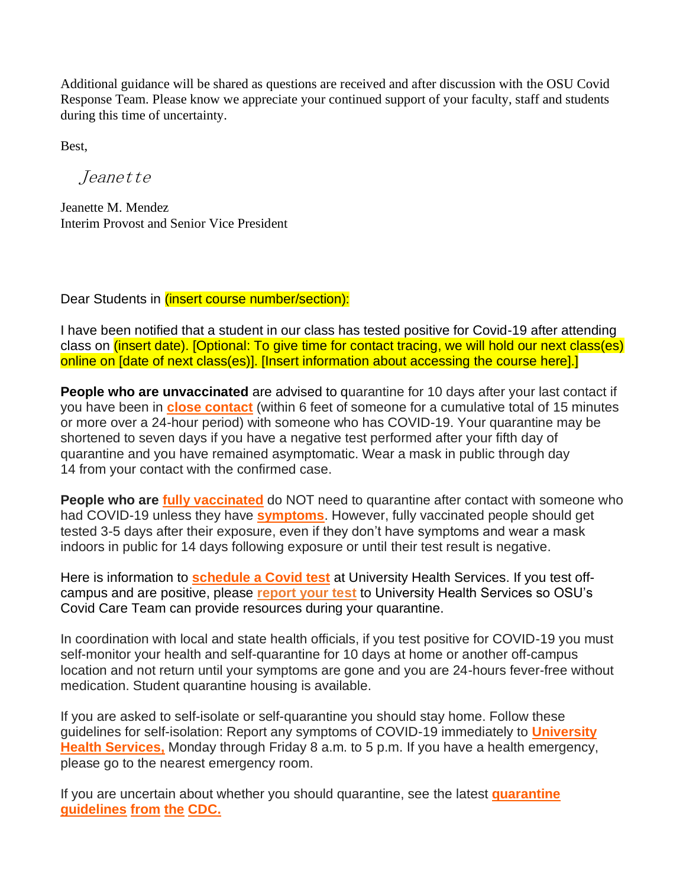Additional guidance will be shared as questions are received and after discussion with the OSU Covid Response Team. Please know we appreciate your continued support of your faculty, staff and students during this time of uncertainty.

Best,

Jeanette

Jeanette M. Mendez Interim Provost and Senior Vice President

Dear Students in *(insert course number/section):* 

I have been notified that a student in our class has tested positive for Covid-19 after attending class on (insert date). [Optional: To give time for contact tracing, we will hold our next class(es) online on [date of next class(es)]. [Insert information about accessing the course here].]

**People who are unvaccinated** are advised to quarantine for 10 days after your last contact if you have been in **[close contact](https://nam04.safelinks.protection.outlook.com/?url=https%3A%2F%2Fwww.cdc.gov%2Fcoronavirus%2F2019-ncov%2Fphp%2Fcontact-tracing%2Fcontact-tracing-plan%2Fappendix.html%23contact&data=04%7C01%7Cbobbikay.lewis%40okstate.edu%7Cd10cafe36b9548101b9208d96427908d%7C2a69c91de8494e34a230cdf8b27e1964%7C0%7C0%7C637650943381631206%7CUnknown%7CTWFpbGZsb3d8eyJWIjoiMC4wLjAwMDAiLCJQIjoiV2luMzIiLCJBTiI6Ik1haWwiLCJXVCI6Mn0%3D%7C1000&sdata=m8tV3FVrCuByFAntD2C8B191oOWUR3AFXk3HBTdKy9s%3D&reserved=0)** (within 6 feet of someone for a cumulative total of 15 minutes or more over a 24-hour period) with someone who has COVID-19. Your quarantine may be shortened to seven days if you have a negative test performed after your fifth day of quarantine and you have remained asymptomatic. Wear a mask in public through day 14 from your contact with the confirmed case.

**People who are [fully vaccinated](https://nam04.safelinks.protection.outlook.com/?url=https%3A%2F%2Fwww.cdc.gov%2Fcoronavirus%2F2019-ncov%2Fvaccines%2Ffully-vaccinated.html&data=04%7C01%7Cbobbikay.lewis%40okstate.edu%7Cd10cafe36b9548101b9208d96427908d%7C2a69c91de8494e34a230cdf8b27e1964%7C0%7C0%7C637650943381631206%7CUnknown%7CTWFpbGZsb3d8eyJWIjoiMC4wLjAwMDAiLCJQIjoiV2luMzIiLCJBTiI6Ik1haWwiLCJXVCI6Mn0%3D%7C1000&sdata=9LCLlNpJryh5SzypMAAb%2FscPn73PmD3w6XkkYCqBYXw%3D&reserved=0)** do NOT need to quarantine after contact with someone who had COVID-19 unless they have **[symptoms](https://nam04.safelinks.protection.outlook.com/?url=https%3A%2F%2Fwww.cdc.gov%2Fcoronavirus%2F2019-ncov%2Fsymptoms-testing%2Fsymptoms.html&data=04%7C01%7Cbobbikay.lewis%40okstate.edu%7Cd10cafe36b9548101b9208d96427908d%7C2a69c91de8494e34a230cdf8b27e1964%7C0%7C0%7C637650943381631206%7CUnknown%7CTWFpbGZsb3d8eyJWIjoiMC4wLjAwMDAiLCJQIjoiV2luMzIiLCJBTiI6Ik1haWwiLCJXVCI6Mn0%3D%7C1000&sdata=tL5SuH1iT%2BFAiWwvnsdJmBzk9wBxZX4N%2B2uq159sE3Y%3D&reserved=0)**. However, fully vaccinated people should get tested 3-5 days after their exposure, even if they don't have symptoms and wear a mask indoors in public for 14 days following exposure or until their test result is negative.

Here is information to **[schedule a Covid test](https://nam04.safelinks.protection.outlook.com/?url=https%3A%2F%2Fuhs.okstate.edu%2Fswab-pod.html&data=04%7C01%7Cbobbikay.lewis%40okstate.edu%7Cd10cafe36b9548101b9208d96427908d%7C2a69c91de8494e34a230cdf8b27e1964%7C0%7C0%7C637650943381641164%7CUnknown%7CTWFpbGZsb3d8eyJWIjoiMC4wLjAwMDAiLCJQIjoiV2luMzIiLCJBTiI6Ik1haWwiLCJXVCI6Mn0%3D%7C1000&sdata=ePMSxfTKjVxMnhFU2JiixMBYlr6JzN%2FAMddCfQ3KXZs%3D&reserved=0)** at University Health Services. If you test offcampus and are positive, please **[report your test](https://nam04.safelinks.protection.outlook.com/?url=https%3A%2F%2Fuhs.okstate.edu%2Fcovid-reporting.html&data=04%7C01%7Cbobbikay.lewis%40okstate.edu%7Cd10cafe36b9548101b9208d96427908d%7C2a69c91de8494e34a230cdf8b27e1964%7C0%7C0%7C637650943381641164%7CUnknown%7CTWFpbGZsb3d8eyJWIjoiMC4wLjAwMDAiLCJQIjoiV2luMzIiLCJBTiI6Ik1haWwiLCJXVCI6Mn0%3D%7C1000&sdata=qPFTV60399E4ea0mZcozpLpeLUpkqOWvN82RpfTdsU8%3D&reserved=0)** to University Health Services so OSU's Covid Care Team can provide resources during your quarantine.

In coordination with local and state health officials, if you test positive for COVID-19 you must self-monitor your health and self-quarantine for 10 days at home or another off-campus location and not return until your symptoms are gone and you are 24-hours fever-free without medication. Student quarantine housing is available.

If you are asked to self-isolate or self-quarantine you should stay home. Follow these guidelines for self-isolation: Report any symptoms of COVID-19 immediately to **[University](https://nam04.safelinks.protection.outlook.com/?url=https%3A%2F%2Fuhs.okstate.edu%2F%3Futm_source%3DOSU%2BCommunications%26utm_campaign%3Da207b0aeb9-EMAIL_CAMPAIGN_2020_03_16_06_05_COPY_01%26utm_medium%3Demail%26utm_term%3D0_ef85cdae6a-a207b0aeb9-&data=04%7C01%7Cbobbikay.lewis%40okstate.edu%7Cd10cafe36b9548101b9208d96427908d%7C2a69c91de8494e34a230cdf8b27e1964%7C0%7C0%7C637650943381651120%7CUnknown%7CTWFpbGZsb3d8eyJWIjoiMC4wLjAwMDAiLCJQIjoiV2luMzIiLCJBTiI6Ik1haWwiLCJXVCI6Mn0%3D%7C1000&sdata=7iaGF2ymxrRAE2U9cHJxKvBopN2sF8a%2Fv0g8LncEZSc%3D&reserved=0)  [Health Services,](https://nam04.safelinks.protection.outlook.com/?url=https%3A%2F%2Fuhs.okstate.edu%2F%3Futm_source%3DOSU%2BCommunications%26utm_campaign%3Da207b0aeb9-EMAIL_CAMPAIGN_2020_03_16_06_05_COPY_01%26utm_medium%3Demail%26utm_term%3D0_ef85cdae6a-a207b0aeb9-&data=04%7C01%7Cbobbikay.lewis%40okstate.edu%7Cd10cafe36b9548101b9208d96427908d%7C2a69c91de8494e34a230cdf8b27e1964%7C0%7C0%7C637650943381651120%7CUnknown%7CTWFpbGZsb3d8eyJWIjoiMC4wLjAwMDAiLCJQIjoiV2luMzIiLCJBTiI6Ik1haWwiLCJXVCI6Mn0%3D%7C1000&sdata=7iaGF2ymxrRAE2U9cHJxKvBopN2sF8a%2Fv0g8LncEZSc%3D&reserved=0)** Monday through Friday 8 a.m. to 5 p.m. If you have a health emergency, please go to the nearest emergency room.

If you are uncertain about whether you should quarantine, see the latest **[quarantine](https://nam04.safelinks.protection.outlook.com/?url=https%3A%2F%2Fwww.cdc.gov%2Fcoronavirus%2F2019-ncov%2Fif-you-are-sick%2Fquarantine.html%3Futm_source%3DOSU%2BCommunications%26utm_campaign%3Da207b0aeb9-EMAIL_CAMPAIGN_2020_03_16_06_05_COPY_01%26utm_medium%3Demail%26utm_term%3D0_ef85cdae6a-a207b0aeb9-&data=04%7C01%7Cbobbikay.lewis%40okstate.edu%7Cd10cafe36b9548101b9208d96427908d%7C2a69c91de8494e34a230cdf8b27e1964%7C0%7C0%7C637650943381651120%7CUnknown%7CTWFpbGZsb3d8eyJWIjoiMC4wLjAwMDAiLCJQIjoiV2luMzIiLCJBTiI6Ik1haWwiLCJXVCI6Mn0%3D%7C1000&sdata=k5rzR6o3xlrWezbNvQoM9I%2BJpqhQivyRQ5M78orvWwY%3D&reserved=0)  [guidelines](https://nam04.safelinks.protection.outlook.com/?url=https%3A%2F%2Fwww.cdc.gov%2Fcoronavirus%2F2019-ncov%2Fif-you-are-sick%2Fquarantine.html%3Futm_source%3DOSU%2BCommunications%26utm_campaign%3Da207b0aeb9-EMAIL_CAMPAIGN_2020_03_16_06_05_COPY_01%26utm_medium%3Demail%26utm_term%3D0_ef85cdae6a-a207b0aeb9-&data=04%7C01%7Cbobbikay.lewis%40okstate.edu%7Cd10cafe36b9548101b9208d96427908d%7C2a69c91de8494e34a230cdf8b27e1964%7C0%7C0%7C637650943381651120%7CUnknown%7CTWFpbGZsb3d8eyJWIjoiMC4wLjAwMDAiLCJQIjoiV2luMzIiLCJBTiI6Ik1haWwiLCJXVCI6Mn0%3D%7C1000&sdata=k5rzR6o3xlrWezbNvQoM9I%2BJpqhQivyRQ5M78orvWwY%3D&reserved=0) from the CDC.**